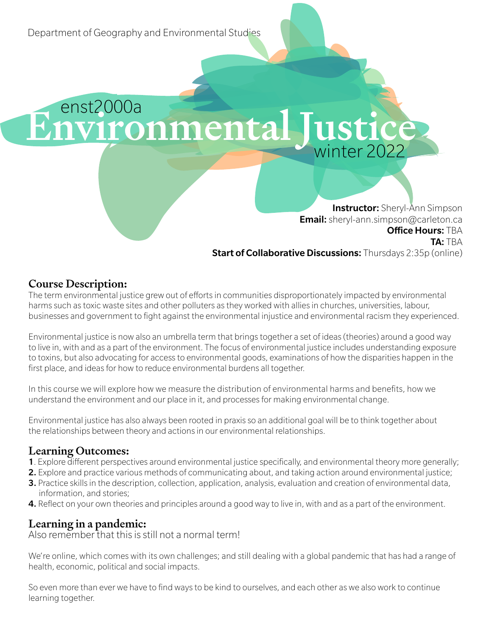enst2000a Environmental Justice

> **Instructor:** Sheryl-Ann Simpson **Email:** sheryl-ann.simpson@carleton.ca **Office Hours: TBA** TA: TBA **Start of Collaborative Discussions:** Thursdays 2:35p (online)

## Course Description:

The term environmental justice grew out of efforts in communities disproportionately impacted by environmental harms such as toxic waste sites and other polluters as they worked with allies in churches, universities, labour, businesses and government to fight against the environmental injustice and environmental racism they experienced.

Environmental justice is now also an umbrella term that brings together a set of ideas (theories) around a good way to live in, with and as a part of the environment. The focus of environmental justice includes understanding exposure to toxins, but also advocating for access to environmental goods, examinations of how the disparities happen in the first place, and ideas for how to reduce environmental burdens all together.

In this course we will explore how we measure the distribution of environmental harms and benefits, how we understand the environment and our place in it, and processes for making environmental change.

Environmental justice has also always been rooted in praxis so an additional goal will be to think together about the relationships between theory and actions in our environmental relationships.

## Learning Outcomes:

- 1. Explore different perspectives around environmental justice specifically, and environmental theory more generally;
- 2. Explore and practice various methods of communicating about, and taking action around environmental justice;
- 3. Practice skills in the description, collection, application, analysis, evaluation and creation of environmental data, information, and stories;
- 4. Reflect on your own theories and principles around a good way to live in, with and as a part of the environment.

## Learning in a pandemic:

Also remember that this is still not a normal term!

We're online, which comes with its own challenges; and still dealing with a global pandemic that has had a range of health, economic, political and social impacts.

So even more than ever we have to find ways to be kind to ourselves, and each other as we also work to continue learning together.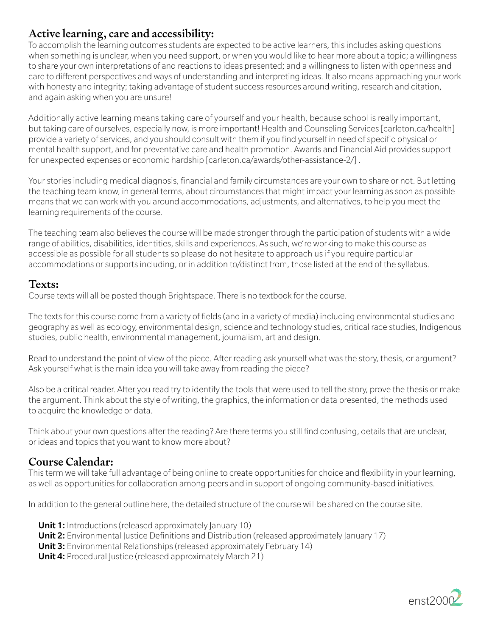## Active learning, care and accessibility:

To accomplish the learning outcomes students are expected to be active learners, this includes asking questions when something is unclear, when you need support, or when you would like to hear more about a topic; a willingness to share your own interpretations of and reactions to ideas presented; and a willingness to listen with openness and care to different perspectives and ways of understanding and interpreting ideas. It also means approaching your work with honesty and integrity; taking advantage of student success resources around writing, research and citation, and again asking when you are unsure!

Additionally active learning means taking care of yourself and your health, because school is really important, but taking care of ourselves, especially now, is more important! Health and Counseling Services [carleton.ca/health] provide a variety of services, and you should consult with them if you find yourself in need of specific physical or mental health support, and for preventative care and health promotion. Awards and Financial Aid provides support for unexpected expenses or economic hardship [carleton.ca/awards/other-assistance-2/] .

Your stories including medical diagnosis, financial and family circumstances are your own to share or not. But letting the teaching team know, in general terms, about circumstances that might impact your learning as soon as possible means that we can work with you around accommodations, adjustments, and alternatives, to help you meet the learning requirements of the course.

The teaching team also believes the course will be made stronger through the participation of students with a wide range of abilities, disabilities, identities, skills and experiences. As such, we're working to make this course as accessible as possible for all students so please do not hesitate to approach us if you require particular accommodations or supports including, or in addition to/distinct from, those listed at the end of the syllabus.

### Texts:

Course texts will all be posted though Brightspace. There is no textbook for the course.

The texts for this course come from a variety of fields (and in a variety of media) including environmental studies and geography as well as ecology, environmental design, science and technology studies, critical race studies, Indigenous studies, public health, environmental management, journalism, art and design.

Read to understand the point of view of the piece. After reading ask yourself what was the story, thesis, or argument? Ask yourself what is the main idea you will take away from reading the piece?

Also be a critical reader. After you read try to identify the tools that were used to tell the story, prove the thesis or make the argument. Think about the style of writing, the graphics, the information or data presented, the methods used to acquire the knowledge or data.

Think about your own questions after the reading? Are there terms you still find confusing, details that are unclear, or ideas and topics that you want to know more about?

### Course Calendar:

This term we will take full advantage of being online to create opportunities for choice and flexibility in your learning, as well as opportunities for collaboration among peers and in support of ongoing community-based initiatives.

In addition to the general outline here, the detailed structure of the course will be shared on the course site.

- **Unit 1:** Introductions (released approximately January 10)
- **Unit 2:** Environmental Justice Definitions and Distribution (released approximately January 17)
- **Unit 3:** Environmental Relationships (released approximately February 14)
- **Unit 4:** Procedural Justice (released approximately March 21)

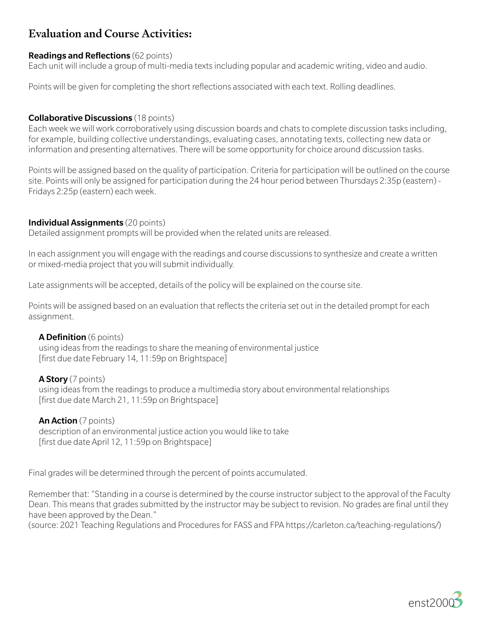# Evaluation and Course Activities:

#### Readings and Reflections (62 points)

Each unit will include a group of multi-media texts including popular and academic writing, video and audio.

Points will be given for completing the short reflections associated with each text. Rolling deadlines.

#### **Collaborative Discussions** (18 points)

Each week we will work corroboratively using discussion boards and chats to complete discussion tasks including, for example, building collective understandings, evaluating cases, annotating texts, collecting new data or information and presenting alternatives. There will be some opportunity for choice around discussion tasks.

Points will be assigned based on the quality of participation. Criteria for participation will be outlined on the course site. Points will only be assigned for participation during the 24 hour period between Thursdays 2:35p (eastern) - Fridays 2:25p (eastern) each week.

#### Individual Assignments (20 points)

Detailed assignment prompts will be provided when the related units are released.

In each assignment you will engage with the readings and course discussions to synthesize and create a written or mixed-media project that you will submit individually.

Late assignments will be accepted, details of the policy will be explained on the course site.

Points will be assigned based on an evaluation that reflects the criteria set out in the detailed prompt for each assignment.

#### A Definition (6 points)

 using ideas from the readings to share the meaning of environmental justice [first due date February 14, 11:59p on Brightspace]

#### A Story (7 points)

 using ideas from the readings to produce a multimedia story about environmental relationships [first due date March 21, 11:59p on Brightspace]

#### An Action (7 points)

 description of an environmental justice action you would like to take [first due date April 12, 11:59p on Brightspace]

Final grades will be determined through the percent of points accumulated.

Remember that: "Standing in a course is determined by the course instructor subject to the approval of the Faculty Dean. This means that grades submitted by the instructor may be subject to revision. No grades are final until they have been approved by the Dean."

(source: 2021 Teaching Regulations and Procedures for FASS and FPA https://carleton.ca/teaching-regulations/)